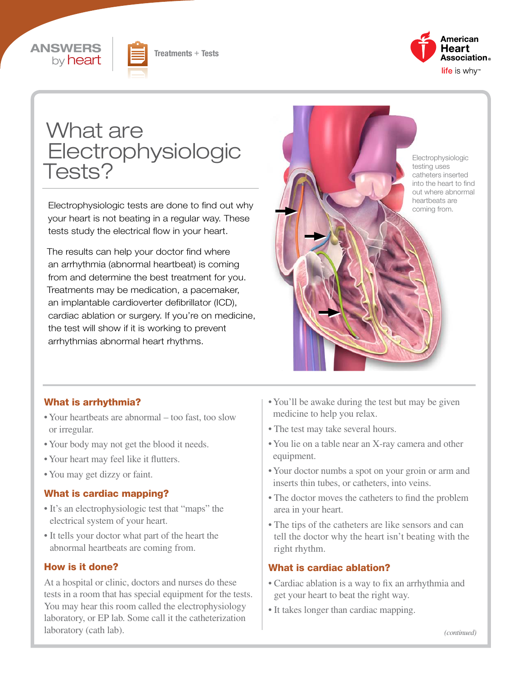





# What are Electrophysiologic Tests?

Electrophysiologic tests are done to find out why your heart is not beating in a regular way. These tests study the electrical flow in your heart.

The results can help your doctor find where an arrhythmia (abnormal heartbeat) is coming from and determine the best treatment for you. Treatments may be medication, a pacemaker, an implantable cardioverter defibrillator (ICD), cardiac ablation or surgery. If you're on medicine, the test will show if it is working to prevent arrhythmias abnormal heart rhythms.



#### What is arrhythmia?

- Your heartbeats are abnormal too fast, too slow or irregular.
- Your body may not get the blood it needs.
- Your heart may feel like it flutters.
- You may get dizzy or faint.

#### What is cardiac mapping?

- It's an electrophysiologic test that "maps" the electrical system of your heart.
- It tells your doctor what part of the heart the abnormal heartbeats are coming from.

#### How is it done?

At a hospital or clinic, doctors and nurses do these tests in a room that has special equipment for the tests. You may hear this room called the electrophysiology laboratory, or EP lab. Some call it the catheterization laboratory (cath lab).

- You'll be awake during the test but may be given medicine to help you relax.
- The test may take several hours.
- You lie on a table near an X-ray camera and other equipment.
- Your doctor numbs a spot on your groin or arm and inserts thin tubes, or catheters, into veins.
- The doctor moves the catheters to find the problem area in your heart.
- The tips of the catheters are like sensors and can tell the doctor why the heart isn't beating with the right rhythm.

#### What is cardiac ablation?

- Cardiac ablation is a way to fix an arrhythmia and get your heart to beat the right way.
- It takes longer than cardiac mapping.